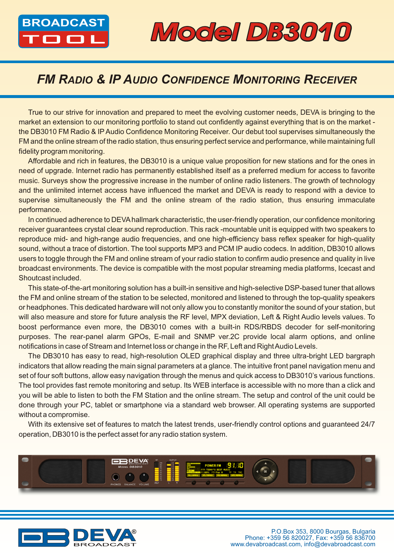

## **BROADCAST Model DB3010**

## *FM RADIO & IP AUDIO CONFIDENCE MONITORING RECEIVER*

True to our strive for innovation and prepared to meet the evolving customer needs, DEVA is bringing to the market an extension to our monitoring portfolio to stand out confidently against everything that is on the market the DB3010 FM Radio & IP Audio Confidence Monitoring Receiver. Our debut tool supervises simultaneously the FM and the online stream of the radio station, thus ensuring perfect service and performance, while maintaining full fidelity program monitoring.

Affordable and rich in features, the DB3010 is a unique value proposition for new stations and for the ones in need of upgrade. Internet radio has permanently established itself as a preferred medium for access to favorite music. Surveys show the progressive increase in the number of online radio listeners. The growth of technology and the unlimited internet access have influenced the market and DEVA is ready to respond with a device to supervise simultaneously the FM and the online stream of the radio station, thus ensuring immaculate performance.

In continued adherence to DEVA hallmark characteristic, the user-friendly operation, our confidence monitoring receiver guarantees crystal clear sound reproduction. This rack -mountable unit is equipped with two speakers to reproduce mid- and high-range audio frequencies, and one high-efficiency bass reflex speaker for high-quality sound, without a trace of distortion. The tool supports MP3 and PCM IP audio codecs. In addition, DB3010 allows users to toggle through the FM and online stream of your radio station to confirm audio presence and quality in live broadcast environments. The device is compatible with the most popular streaming media platforms, Icecast and Shoutcast included.

This state-of-the-art monitoring solution has a built-in sensitive and high-selective DSP-based tuner that allows the FM and online stream of the station to be selected, monitored and listened to through the top-quality speakers or headphones. This dedicated hardware will not only allow you to constantly monitor the sound of your station, but will also measure and store for future analysis the RF level, MPX deviation, Left & Right Audio levels values. To boost performance even more, the DB3010 comes with a built-in RDS/RBDS decoder for self-monitoring purposes. The rear-panel alarm GPOs, E-mail and SNMP ver.2C provide local alarm options, and online notifications in case of Stream and Internet loss or change in the RF, Left and Right Audio Levels.

The DB3010 has easy to read, high-resolution OLED graphical display and three ultra-bright LED bargraph indicators that allow reading the main signal parameters at a glance. The intuitive front panel navigation menu and set of four soft buttons, allow easy navigation through the menus and quick access to DB3010's various functions. The tool provides fast remote monitoring and setup. Its WEB interface is accessible with no more than a click and you will be able to listen to both the FM Station and the online stream. The setup and control of the unit could be done through your PC, tablet or smartphone via a standard web browser. All operating systems are supported without a compromise.

With its extensive set of features to match the latest trends, user-friendly control options and guaranteed 24/7 operation, DB3010 is the perfect asset for any radio station system.



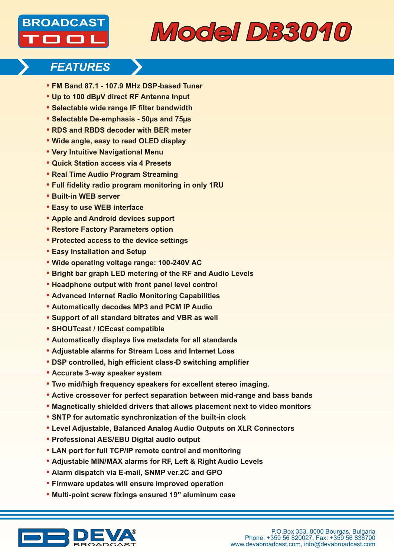



### *FEATURES*

- **• FM Band 87.1 107.9 MHz DSP-based Tuner**
- **• Up to 100 dBµV direct RF Antenna Input**
- **• Selectable wide range IF filter bandwidth**
- **• Selectable De-emphasis 50µs and 75µs**
- **• RDS and RBDS decoder with BER meter**
- **• Wide angle, easy to read OLED display**
- **• Very Intuitive Navigational Menu**
- **• Quick Station access via 4 Presets**
- **• Real Time Audio Program Streaming**
- **• Full fidelity radio program monitoring in only 1RU**
- **• Built-in WEB server**
- **• Easy to use WEB interface**
- **• Apple and Android devices support**
- **• Restore Factory Parameters option**
- **• Protected access to the device settings**
- **• Easy Installation and Setup**
- **• Wide operating voltage range: 100-240V AC**
- **• Bright bar graph LED metering of the RF and Audio Levels**
- **• Headphone output with front panel level control**
- **• Advanced Internet Radio Monitoring Capabilities**
- **• Automatically decodes MP3 and PCM IP Audio**
- **• Support of all standard bitrates and VBR as well**
- **• SHOUTcast / ICEcast compatible**
- **• Automatically displays live metadata for all standards**
- **• Adjustable alarms for Stream Loss and Internet Loss**
- **• DSP controlled, high efficient class-D switching amplifier**
- **• Accurate 3-way speaker system**
- **• Two mid/high frequency speakers for excellent stereo imaging.**
- **• Active crossover for perfect separation between mid-range and bass bands**
- **• Magnetically shielded drivers that allows placement next to video monitors**
- **• SNTP for automatic synchronization of the built-in clock**
- **• Level Adjustable, Balanced Analog Audio Outputs on XLR Connectors**
- **• Professional AES/EBU Digital audio output**
- **• LAN port for full TCP/IP remote control and monitoring**
- **• Adjustable MIN/MAX alarms for RF, Left & Right Audio Levels**
- **• Alarm dispatch via E-mail, SNMP ver.2C and GPO**
- **• Firmware updates will ensure improved operation**
- **• Multi-point screw fixings ensured 19" aluminum case**